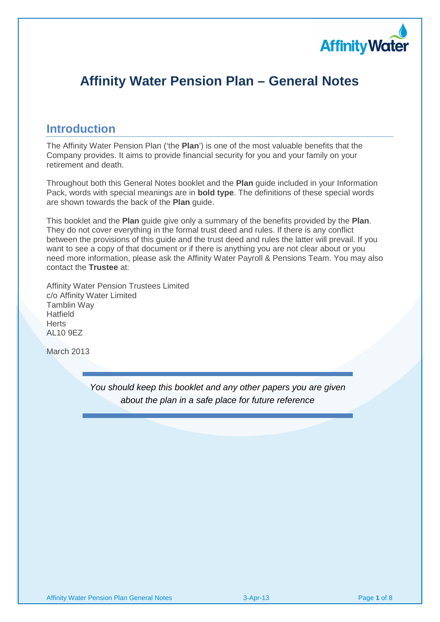

# **Affinity Water Pension Plan – General Notes**

## **Introduction**

The Affinity Water Pension Plan ('the **Plan**') is one of the most valuable benefits that the Company provides. It aims to provide financial security for you and your family on your retirement and death.

Throughout both this General Notes booklet and the **Plan** guide included in your Information Pack, words with special meanings are in **bold type**. The definitions of these special words are shown towards the back of the **Plan** guide.

This booklet and the **Plan** guide give only a summary of the benefits provided by the **Plan**. They do not cover everything in the formal trust deed and rules. If there is any conflict between the provisions of this guide and the trust deed and rules the latter will prevail. If you want to see a copy of that document or if there is anything you are not clear about or you need more information, please ask the Affinity Water Payroll & Pensions Team. You may also contact the **Trustee** at:

Affinity Water Pension Trustees Limited c/o Affinity Water Limited Tamblin Way Hatfield Herts AL10 9EZ

March 2013

You should keep this booklet and any other papers you are given about the plan in a safe place for future reference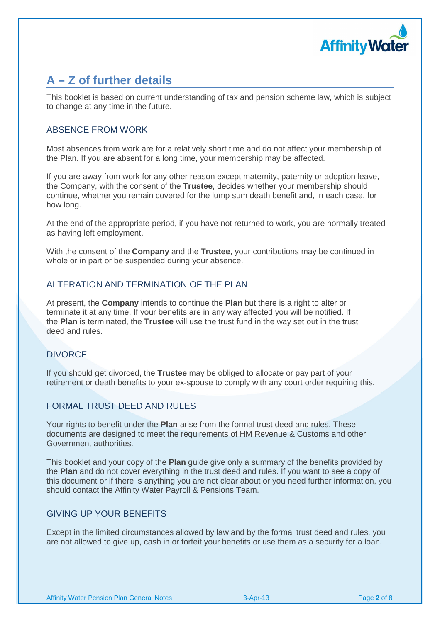

# **A – Z of further details**

This booklet is based on current understanding of tax and pension scheme law, which is subject to change at any time in the future.

### ABSENCE FROM WORK

Most absences from work are for a relatively short time and do not affect your membership of the Plan. If you are absent for a long time, your membership may be affected.

If you are away from work for any other reason except maternity, paternity or adoption leave, the Company, with the consent of the **Trustee**, decides whether your membership should continue, whether you remain covered for the lump sum death benefit and, in each case, for how long.

At the end of the appropriate period, if you have not returned to work, you are normally treated as having left employment.

With the consent of the **Company** and the **Trustee**, your contributions may be continued in whole or in part or be suspended during your absence.

## ALTERATION AND TERMINATION OF THE PLAN

At present, the **Company** intends to continue the **Plan** but there is a right to alter or terminate it at any time. If your benefits are in any way affected you will be notified. If the **Plan** is terminated, the **Trustee** will use the trust fund in the way set out in the trust deed and rules.

## DIVORCE

If you should get divorced, the **Trustee** may be obliged to allocate or pay part of your retirement or death benefits to your ex-spouse to comply with any court order requiring this.

## FORMAL TRUST DEED AND RULES

Your rights to benefit under the **Plan** arise from the formal trust deed and rules. These documents are designed to meet the requirements of HM Revenue & Customs and other Government authorities.

This booklet and your copy of the **Plan** guide give only a summary of the benefits provided by the **Plan** and do not cover everything in the trust deed and rules. If you want to see a copy of this document or if there is anything you are not clear about or you need further information, you should contact the Affinity Water Payroll & Pensions Team.

## GIVING UP YOUR BENEFITS

Except in the limited circumstances allowed by law and by the formal trust deed and rules, you are not allowed to give up, cash in or forfeit your benefits or use them as a security for a loan.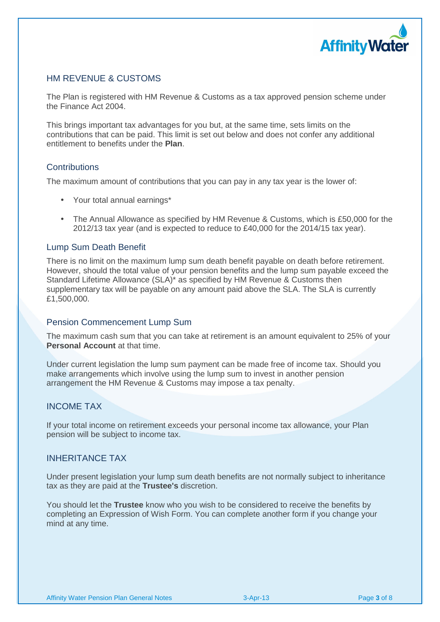

## HM REVENUE & CUSTOMS

The Plan is registered with HM Revenue & Customs as a tax approved pension scheme under the Finance Act 2004.

This brings important tax advantages for you but, at the same time, sets limits on the contributions that can be paid. This limit is set out below and does not confer any additional entitlement to benefits under the **Plan**.

#### **Contributions**

The maximum amount of contributions that you can pay in any tax year is the lower of:

- Your total annual earnings\*
- The Annual Allowance as specified by HM Revenue & Customs, which is £50,000 for the 2012/13 tax year (and is expected to reduce to £40,000 for the 2014/15 tax year).

#### Lump Sum Death Benefit

There is no limit on the maximum lump sum death benefit payable on death before retirement. However, should the total value of your pension benefits and the lump sum payable exceed the Standard Lifetime Allowance (SLA)\* as specified by HM Revenue & Customs then supplementary tax will be payable on any amount paid above the SLA. The SLA is currently £1,500,000.

#### Pension Commencement Lump Sum

The maximum cash sum that you can take at retirement is an amount equivalent to 25% of your **Personal Account** at that time.

Under current legislation the lump sum payment can be made free of income tax. Should you make arrangements which involve using the lump sum to invest in another pension arrangement the HM Revenue & Customs may impose a tax penalty.

#### INCOME TAX

If your total income on retirement exceeds your personal income tax allowance, your Plan pension will be subject to income tax.

#### INHERITANCE TAX

Under present legislation your lump sum death benefits are not normally subject to inheritance tax as they are paid at the **Trustee's** discretion.

You should let the **Trustee** know who you wish to be considered to receive the benefits by completing an Expression of Wish Form. You can complete another form if you change your mind at any time.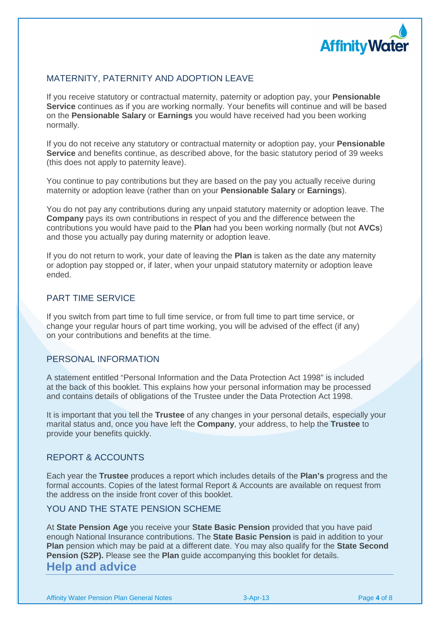

## MATERNITY, PATERNITY AND ADOPTION LEAVE

If you receive statutory or contractual maternity, paternity or adoption pay, your **Pensionable Service** continues as if you are working normally. Your benefits will continue and will be based on the **Pensionable Salary** or **Earnings** you would have received had you been working normally.

If you do not receive any statutory or contractual maternity or adoption pay, your **Pensionable Service** and benefits continue, as described above, for the basic statutory period of 39 weeks (this does not apply to paternity leave).

You continue to pay contributions but they are based on the pay you actually receive during maternity or adoption leave (rather than on your **Pensionable Salary** or **Earnings**).

You do not pay any contributions during any unpaid statutory maternity or adoption leave. The **Company** pays its own contributions in respect of you and the difference between the contributions you would have paid to the **Plan** had you been working normally (but not **AVCs**) and those you actually pay during maternity or adoption leave.

If you do not return to work, your date of leaving the **Plan** is taken as the date any maternity or adoption pay stopped or, if later, when your unpaid statutory maternity or adoption leave ended.

### PART TIME SERVICE

If you switch from part time to full time service, or from full time to part time service, or change your regular hours of part time working, you will be advised of the effect (if any) on your contributions and benefits at the time.

#### PERSONAL INFORMATION

A statement entitled "Personal Information and the Data Protection Act 1998" is included at the back of this booklet. This explains how your personal information may be processed and contains details of obligations of the Trustee under the Data Protection Act 1998.

It is important that you tell the **Trustee** of any changes in your personal details, especially your marital status and, once you have left the **Company**, your address, to help the **Trustee** to provide your benefits quickly.

## REPORT & ACCOUNTS

Each year the **Trustee** produces a report which includes details of the **Plan's** progress and the formal accounts. Copies of the latest formal Report & Accounts are available on request from the address on the inside front cover of this booklet.

### YOU AND THE STATE PENSION SCHEME

At **State Pension Age** you receive your **State Basic Pension** provided that you have paid enough National Insurance contributions. The **State Basic Pension** is paid in addition to your **Plan** pension which may be paid at a different date. You may also qualify for the **State Second Pension (S2P).** Please see the **Plan** guide accompanying this booklet for details. **Help and advice**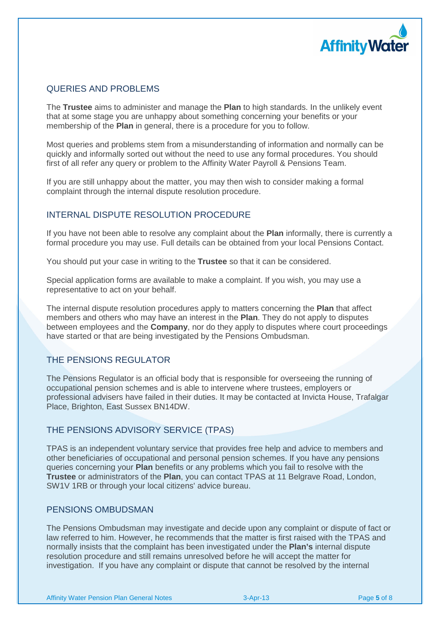

## QUERIES AND PROBLEMS

The **Trustee** aims to administer and manage the **Plan** to high standards. In the unlikely event that at some stage you are unhappy about something concerning your benefits or your membership of the **Plan** in general, there is a procedure for you to follow.

Most queries and problems stem from a misunderstanding of information and normally can be quickly and informally sorted out without the need to use any formal procedures. You should first of all refer any query or problem to the Affinity Water Payroll & Pensions Team.

If you are still unhappy about the matter, you may then wish to consider making a formal complaint through the internal dispute resolution procedure.

## INTERNAL DISPUTE RESOLUTION PROCEDURE

If you have not been able to resolve any complaint about the **Plan** informally, there is currently a formal procedure you may use. Full details can be obtained from your local Pensions Contact.

You should put your case in writing to the **Trustee** so that it can be considered.

Special application forms are available to make a complaint. If you wish, you may use a representative to act on your behalf.

The internal dispute resolution procedures apply to matters concerning the **Plan** that affect members and others who may have an interest in the **Plan**. They do not apply to disputes between employees and the **Company**, nor do they apply to disputes where court proceedings have started or that are being investigated by the Pensions Ombudsman.

## THE PENSIONS REGULATOR

The Pensions Regulator is an official body that is responsible for overseeing the running of occupational pension schemes and is able to intervene where trustees, employers or professional advisers have failed in their duties. It may be contacted at Invicta House, Trafalgar Place, Brighton, East Sussex BN14DW.

#### THE PENSIONS ADVISORY SERVICE (TPAS)

TPAS is an independent voluntary service that provides free help and advice to members and other beneficiaries of occupational and personal pension schemes. If you have any pensions queries concerning your **Plan** benefits or any problems which you fail to resolve with the **Trustee** or administrators of the **Plan**, you can contact TPAS at 11 Belgrave Road, London, SW1V 1RB or through your local citizens' advice bureau.

#### PENSIONS OMBUDSMAN

The Pensions Ombudsman may investigate and decide upon any complaint or dispute of fact or law referred to him. However, he recommends that the matter is first raised with the TPAS and normally insists that the complaint has been investigated under the **Plan's** internal dispute resolution procedure and still remains unresolved before he will accept the matter for investigation. If you have any complaint or dispute that cannot be resolved by the internal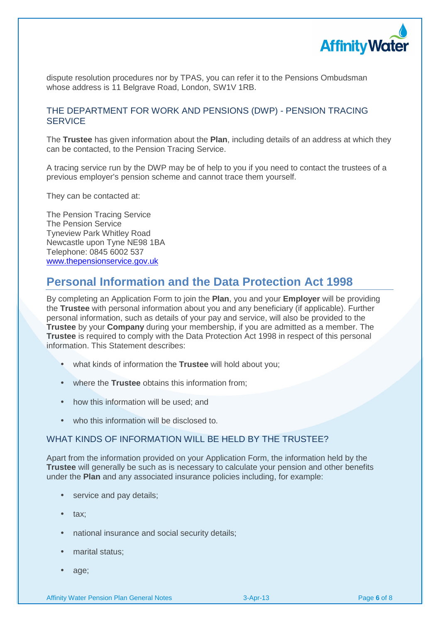

dispute resolution procedures nor by TPAS, you can refer it to the Pensions Ombudsman whose address is 11 Belgrave Road, London, SW1V 1RB.

### THE DEPARTMENT FOR WORK AND PENSIONS (DWP) - PENSION TRACING **SERVICE**

The **Trustee** has given information about the **Plan**, including details of an address at which they can be contacted, to the Pension Tracing Service.

A tracing service run by the DWP may be of help to you if you need to contact the trustees of a previous employer's pension scheme and cannot trace them yourself.

They can be contacted at:

The Pension Tracing Service The Pension Service Tyneview Park Whitley Road Newcastle upon Tyne NE98 1BA Telephone: 0845 6002 537 www.thepensionservice.gov.uk

## **Personal Information and the Data Protection Act 1998**

By completing an Application Form to join the **Plan**, you and your **Employer** will be providing the **Trustee** with personal information about you and any beneficiary (if applicable). Further personal information, such as details of your pay and service, will also be provided to the **Trustee** by your **Company** during your membership, if you are admitted as a member. The **Trustee** is required to comply with the Data Protection Act 1998 in respect of this personal information. This Statement describes:

- what kinds of information the **Trustee** will hold about you;
- where the **Trustee** obtains this information from;
- how this information will be used; and
- who this information will be disclosed to.

#### WHAT KINDS OF INFORMATION WILL BE HELD BY THE TRUSTEE?

Apart from the information provided on your Application Form, the information held by the **Trustee** will generally be such as is necessary to calculate your pension and other benefits under the **Plan** and any associated insurance policies including, for example:

- service and pay details;
- tax;
- national insurance and social security details;
- marital status;
- age;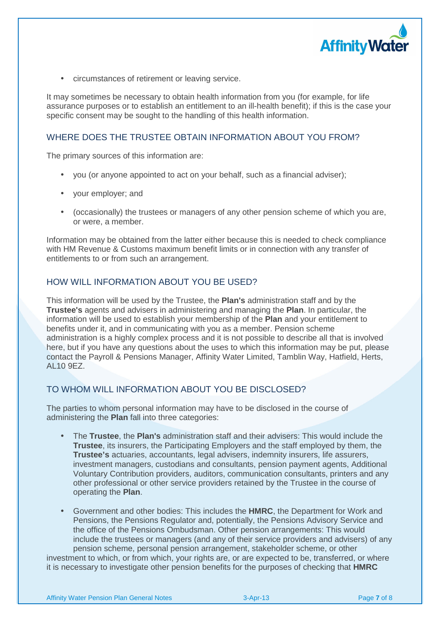

• circumstances of retirement or leaving service.

It may sometimes be necessary to obtain health information from you (for example, for life assurance purposes or to establish an entitlement to an ill-health benefit); if this is the case your specific consent may be sought to the handling of this health information.

## WHERE DOES THE TRUSTEE OBTAIN INFORMATION ABOUT YOU FROM?

The primary sources of this information are:

- you (or anyone appointed to act on your behalf, such as a financial adviser);
- your employer; and
- (occasionally) the trustees or managers of any other pension scheme of which you are, or were, a member.

Information may be obtained from the latter either because this is needed to check compliance with HM Revenue & Customs maximum benefit limits or in connection with any transfer of entitlements to or from such an arrangement.

### HOW WILL INFORMATION ABOUT YOU BE USED?

This information will be used by the Trustee, the **Plan's** administration staff and by the **Trustee's** agents and advisers in administering and managing the **Plan**. In particular, the information will be used to establish your membership of the **Plan** and your entitlement to benefits under it, and in communicating with you as a member. Pension scheme administration is a highly complex process and it is not possible to describe all that is involved here, but if you have any questions about the uses to which this information may be put, please contact the Payroll & Pensions Manager, Affinity Water Limited, Tamblin Way, Hatfield, Herts, AL10 9EZ.

## TO WHOM WILL INFORMATION ABOUT YOU BE DISCLOSED?

The parties to whom personal information may have to be disclosed in the course of administering the **Plan** fall into three categories:

- The **Trustee**, the **Plan's** administration staff and their advisers: This would include the **Trustee**, its insurers, the Participating Employers and the staff employed by them, the **Trustee's** actuaries, accountants, legal advisers, indemnity insurers, life assurers, investment managers, custodians and consultants, pension payment agents, Additional Voluntary Contribution providers, auditors, communication consultants, printers and any other professional or other service providers retained by the Trustee in the course of operating the **Plan**.
- Government and other bodies: This includes the **HMRC**, the Department for Work and Pensions, the Pensions Regulator and, potentially, the Pensions Advisory Service and the office of the Pensions Ombudsman. Other pension arrangements: This would include the trustees or managers (and any of their service providers and advisers) of any pension scheme, personal pension arrangement, stakeholder scheme, or other

investment to which, or from which, your rights are, or are expected to be, transferred, or where it is necessary to investigate other pension benefits for the purposes of checking that **HMRC**